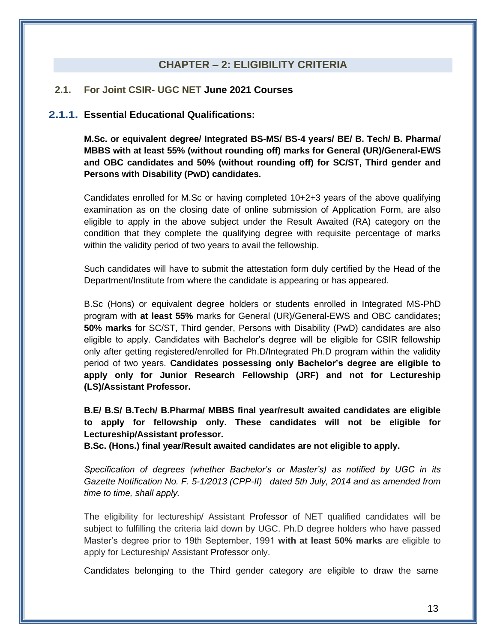## **CHAPTER – 2: ELIGIBILITY CRITERIA**

## **2.1. For Joint CSIR- UGC NET June 2021 Courses**

## **2.1.1. Essential Educational Qualifications:**

**M.Sc. or equivalent degree/ Integrated BS-MS/ BS-4 years/ BE/ B. Tech/ B. Pharma/ MBBS with at least 55% (without rounding off) marks for General (UR)/General-EWS and OBC candidates and 50% (without rounding off) for SC/ST, Third gender and Persons with Disability (PwD) candidates.** 

Candidates enrolled for M.Sc or having completed 10+2+3 years of the above qualifying examination as on the closing date of online submission of Application Form, are also eligible to apply in the above subject under the Result Awaited (RA) category on the condition that they complete the qualifying degree with requisite percentage of marks within the validity period of two years to avail the fellowship.

Such candidates will have to submit the attestation form duly certified by the Head of the Department/Institute from where the candidate is appearing or has appeared.

B.Sc (Hons) or equivalent degree holders or students enrolled in Integrated MS-PhD program with **at least 55%** marks for General (UR)/General-EWS and OBC candidates**; 50% marks** for SC/ST, Third gender, Persons with Disability (PwD) candidates are also eligible to apply. Candidates with Bachelor's degree will be eligible for CSIR fellowship only after getting registered/enrolled for Ph.D/Integrated Ph.D program within the validity period of two years. **Candidates possessing only Bachelor's degree are eligible to apply only for Junior Research Fellowship (JRF) and not for Lectureship (LS)/Assistant Professor.**

**B.E/ B.S/ B.Tech/ B.Pharma/ MBBS final year/result awaited candidates are eligible to apply for fellowship only. These candidates will not be eligible for Lectureship/Assistant professor.**

**B.Sc. (Hons.) final year/Result awaited candidates are not eligible to apply.**

*Specification of degrees (whether Bachelor's or Master's) as notified by UGC in its Gazette Notification No. F. 5-1/2013 (CPP-II) dated 5th July, 2014 and as amended from time to time, shall apply.* 

The eligibility for lectureship/ Assistant Professor of NET qualified candidates will be subject to fulfilling the criteria laid down by UGC. Ph.D degree holders who have passed Master's degree prior to 19th September, 1991 **with at least 50% marks** are eligible to apply for Lectureship/ Assistant Professor only.

Candidates belonging to the Third gender category are eligible to draw the same